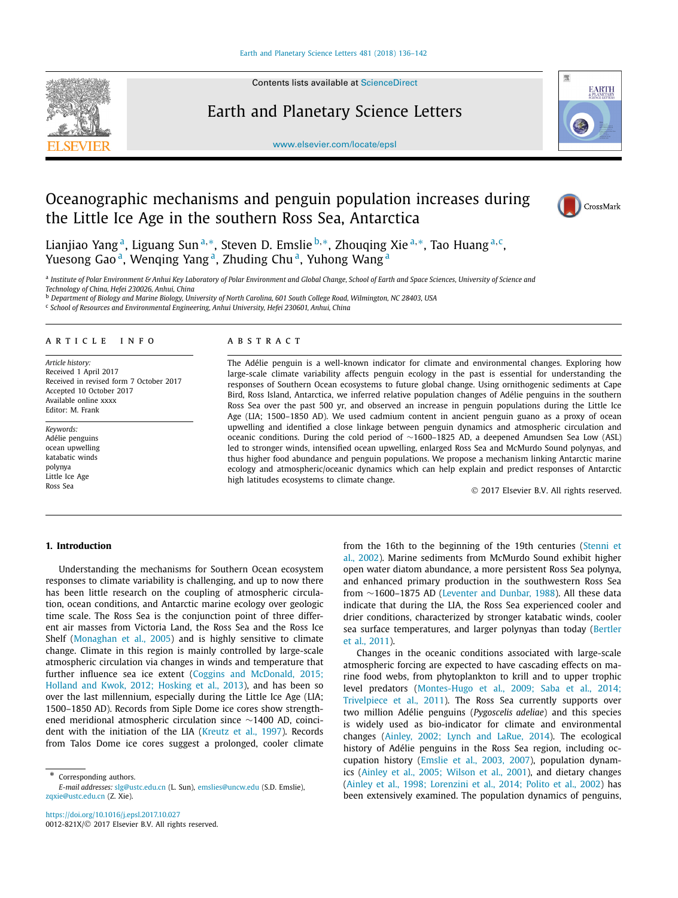

Contents lists available at [ScienceDirect](http://www.ScienceDirect.com/)

# Earth and Planetary Science Letters





# Oceanographic mechanisms and penguin population increases during the Little Ice Age in the southern Ross Sea, Antarctica



Lianjiao Yang a, Liguang Sun <sup>a</sup>*,*∗, Steven D. Emslie <sup>b</sup>*,*∗, Zhouqing Xie <sup>a</sup>*,*∗, Tao Huang <sup>a</sup>*,*c, Yuesong Gao<sup>a</sup>, Wenging Yang<sup>a</sup>, Zhuding Chu<sup>a</sup>, Yuhong Wang<sup>a</sup>

<sup>a</sup> Institute of Polar Environment & Anhui Key Laboratory of Polar Environment and Global Change, School of Earth and Space Sciences, University of Science and *Technology of China, Hefei 230026, Anhui, China*

<sup>b</sup> Department of Biology and Marine Biology, University of North Carolina, 601 South College Road, Wilmington, NC 28403, USA

<sup>c</sup> *School of Resources and Environmental Engineering, Anhui University, Hefei 230601, Anhui, China*

#### A R T I C L E I N F O A B S T R A C T

*Article history:* Received 1 April 2017 Received in revised form 7 October 2017 Accepted 10 October 2017 Available online xxxx Editor: M. Frank

*Keywords:* Adélie penguins ocean upwelling katabatic winds polynya Little Ice Age Ross Sea

The Adélie penguin is a well-known indicator for climate and environmental changes. Exploring how large-scale climate variability affects penguin ecology in the past is essential for understanding the responses of Southern Ocean ecosystems to future global change. Using ornithogenic sediments at Cape Bird, Ross Island, Antarctica, we inferred relative population changes of Adélie penguins in the southern Ross Sea over the past 500 yr, and observed an increase in penguin populations during the Little Ice Age (LIA; 1500–1850 AD). We used cadmium content in ancient penguin guano as a proxy of ocean upwelling and identified a close linkage between penguin dynamics and atmospheric circulation and oceanic conditions. During the cold period of ∼1600–1825 AD, a deepened Amundsen Sea Low (ASL) led to stronger winds, intensified ocean upwelling, enlarged Ross Sea and McMurdo Sound polynyas, and thus higher food abundance and penguin populations. We propose a mechanism linking Antarctic marine ecology and atmospheric/oceanic dynamics which can help explain and predict responses of Antarctic high latitudes ecosystems to climate change.

© 2017 Elsevier B.V. All rights reserved.

# **1. Introduction**

Understanding the mechanisms for Southern Ocean ecosystem responses to climate variability is challenging, and up to now there has been little research on the coupling of atmospheric circulation, ocean conditions, and Antarctic marine ecology over geologic time scale. The Ross Sea is the conjunction point of three different air masses from Victoria Land, the Ross Sea and the Ross Ice Shelf [\(Monaghan](#page-6-0) et al., 2005) and is highly sensitive to climate change. Climate in this region is mainly controlled by large-scale atmospheric circulation via changes in winds and temperature that further influence sea ice extent (Coggins and [McDonald,](#page-5-0) 2015; Holland and Kwok, [2012; Hosking](#page-5-0) et al., 2013), and has been so over the last millennium, especially during the Little Ice Age (LIA; 1500–1850 AD). Records from Siple Dome ice cores show strengthened meridional atmospheric circulation since ∼1400 AD, coincident with the initiation of the LIA [\(Kreutz](#page-5-0) et al., 1997). Records from Talos Dome ice cores suggest a prolonged, cooler climate

Corresponding authors. *E-mail addresses:* [slg@ustc.edu.cn](mailto:slg@ustc.edu.cn) (L. Sun), [emslies@uncw.edu](mailto:emslies@uncw.edu) (S.D. Emslie), [zqxie@ustc.edu.cn](mailto:zqxie@ustc.edu.cn) (Z. Xie).

from the 16th to the beginning of the 19th centuries [\(Stenni](#page-6-0) et al., [2002\)](#page-6-0). Marine sediments from McMurdo Sound exhibit higher open water diatom abundance, a more persistent Ross Sea polynya, and enhanced primary production in the southwestern Ross Sea from ∼1600–1875 AD [\(Leventer](#page-5-0) and Dunbar, 1988). All these data indicate that during the LIA, the Ross Sea experienced cooler and drier conditions, characterized by stronger katabatic winds, cooler sea surface temperatures, and larger polynyas than today [\(Bertler](#page-5-0) et al., [2011\)](#page-5-0).

Changes in the oceanic conditions associated with large-scale atmospheric forcing are expected to have cascading effects on marine food webs, from phytoplankton to krill and to upper trophic level predators [\(Montes-Hugo](#page-6-0) et al., 2009; Saba et al., 2014; [Trivelpiece](#page-6-0) et al., 2011). The Ross Sea currently supports over two million Adélie penguins (*Pygoscelis adeliae*) and this species is widely used as bio-indicator for climate and environmental changes (Ainley, [2002; Lynch](#page-5-0) and LaRue, 2014). The ecological history of Adélie penguins in the Ross Sea region, including occupation history (Emslie et al., [2003, 2007\)](#page-5-0), population dynamics (Ainley et al., [2005; Wilson](#page-5-0) et al., 2001), and dietary changes (Ainley et al., [1998; Lorenzini](#page-5-0) et al., 2014; Polito et al., 2002) has been extensively examined. The population dynamics of penguins,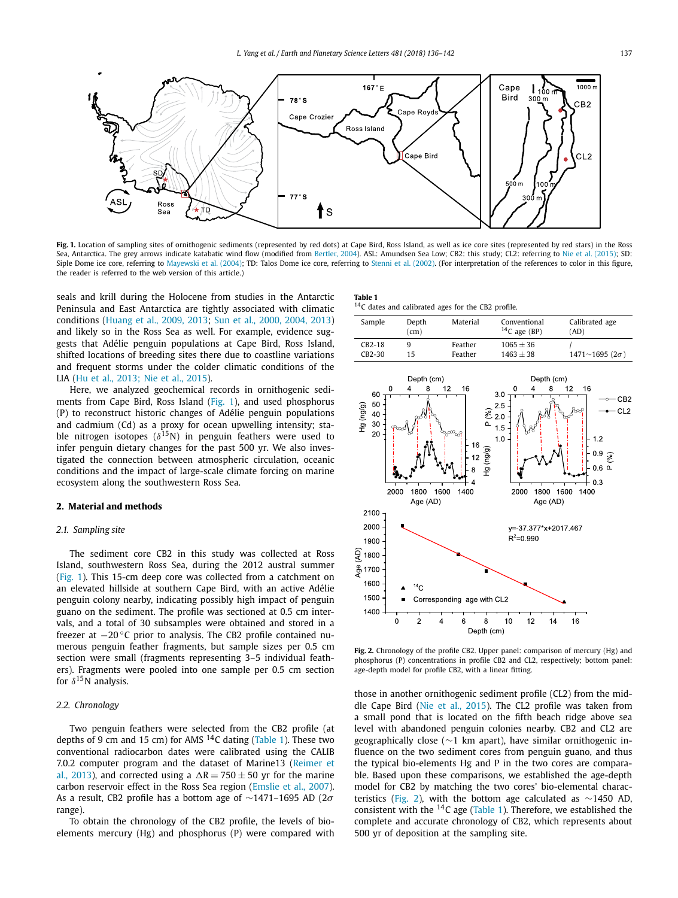

Fig. 1. Location of sampling sites of ornithogenic sediments (represented by red dots) at Cape Bird, Ross Island, as well as ice core sites (represented by red stars) in the Ross Sea, Antarctica. The grey arrows indicate katabatic wind flow (modified from [Bertler,](#page-5-0) 2004). ASL: Amundsen Sea Low; CB2: this study; CL2: referring to Nie et [al. \(2015\);](#page-6-0) SD: Siple Dome ice core, referring to [Mayewski](#page-6-0) et al. (2004); TD: Talos Dome ice core, referring to Stenni et [al. \(2002\).](#page-6-0) (For interpretation of the references to color in this figure, the reader is referred to the web version of this article.)

seals and krill during the Holocene from studies in the Antarctic Peninsula and East Antarctica are tightly associated with climatic conditions [\(Huang](#page-5-0) et al., 2009, 2013; Sun et al., 2000, [2004,](#page-6-0) 2013) and likely so in the Ross Sea as well. For example, evidence suggests that Adélie penguin populations at Cape Bird, Ross Island, shifted locations of breeding sites there due to coastline variations and frequent storms under the colder climatic conditions of the LIA (Hu et al., [2013; Nie](#page-5-0) et al., 2015).

Here, we analyzed geochemical records in ornithogenic sediments from Cape Bird, Ross Island (Fig. 1), and used phosphorus (P) to reconstruct historic changes of Adélie penguin populations and cadmium (Cd) as a proxy for ocean upwelling intensity; stable nitrogen isotopes (*δ*15N) in penguin feathers were used to infer penguin dietary changes for the past 500 yr. We also investigated the connection between atmospheric circulation, oceanic conditions and the impact of large-scale climate forcing on marine ecosystem along the southwestern Ross Sea.

#### **2. Material and methods**

#### *2.1. Sampling site*

The sediment core CB2 in this study was collected at Ross Island, southwestern Ross Sea, during the 2012 austral summer (Fig. 1). This 15-cm deep core was collected from a catchment on an elevated hillside at southern Cape Bird, with an active Adélie penguin colony nearby, indicating possibly high impact of penguin guano on the sediment. The profile was sectioned at 0.5 cm intervals, and a total of 30 subsamples were obtained and stored in a freezer at −20 ◦C prior to analysis. The CB2 profile contained numerous penguin feather fragments, but sample sizes per 0.5 cm section were small (fragments representing 3–5 individual feathers). Fragments were pooled into one sample per 0.5 cm section for  $\delta^{15}$ N analysis.

## *2.2. Chronology*

Two penguin feathers were selected from the CB2 profile (at depths of 9 cm and 15 cm) for AMS  $^{14}$ C dating (Table 1). These two conventional radiocarbon dates were calibrated using the CALIB 7.0.2 computer program and the dataset of Marine13 [\(Reimer](#page-6-0) et al., [2013\)](#page-6-0), and corrected using a  $\Delta R = 750 \pm 50$  yr for the marine carbon reservoir effect in the Ross Sea region [\(Emslie](#page-5-0) et al., 2007). As <sup>a</sup> result, CB2 profile has <sup>a</sup> bottom age of ∼1471–1695 AD (2*σ* range).

To obtain the chronology of the CB2 profile, the levels of bioelements mercury (Hg) and phosphorus (P) were compared with

#### **Table 1**

14C dates and calibrated ages for the CB2 profile.

| Sample   | Depth<br>(cm) | Material | Conventional<br>$14C$ age (BP) | Calibrated age<br>(AD)    |
|----------|---------------|----------|--------------------------------|---------------------------|
| $CR2-18$ | a             | Feather  | $1065 + 36$                    | $1471{\sim}1695(2\sigma)$ |
| $CB2-30$ | 15            | Feather  | $1463 + 38$                    |                           |



**Fig. 2.** Chronology of the profile CB2. Upper panel: comparison of mercury (Hg) and phosphorus (P) concentrations in profile CB2 and CL2, respectively; bottom panel: age-depth model for profile CB2, with a linear fitting.

those in another ornithogenic sediment profile (CL2) from the middle Cape Bird (Nie et al., [2015\)](#page-6-0). The CL2 profile was taken from a small pond that is located on the fifth beach ridge above sea level with abandoned penguin colonies nearby. CB2 and CL2 are geographically close (∼1 km apart), have similar ornithogenic influence on the two sediment cores from penguin guano, and thus the typical bio-elements Hg and P in the two cores are comparable. Based upon these comparisons, we established the age-depth model for CB2 by matching the two cores' bio-elemental characteristics (Fig. 2), with the bottom age calculated as ∼1450 AD, consistent with the  $^{14}$ C age (Table 1). Therefore, we established the complete and accurate chronology of CB2, which represents about 500 yr of deposition at the sampling site.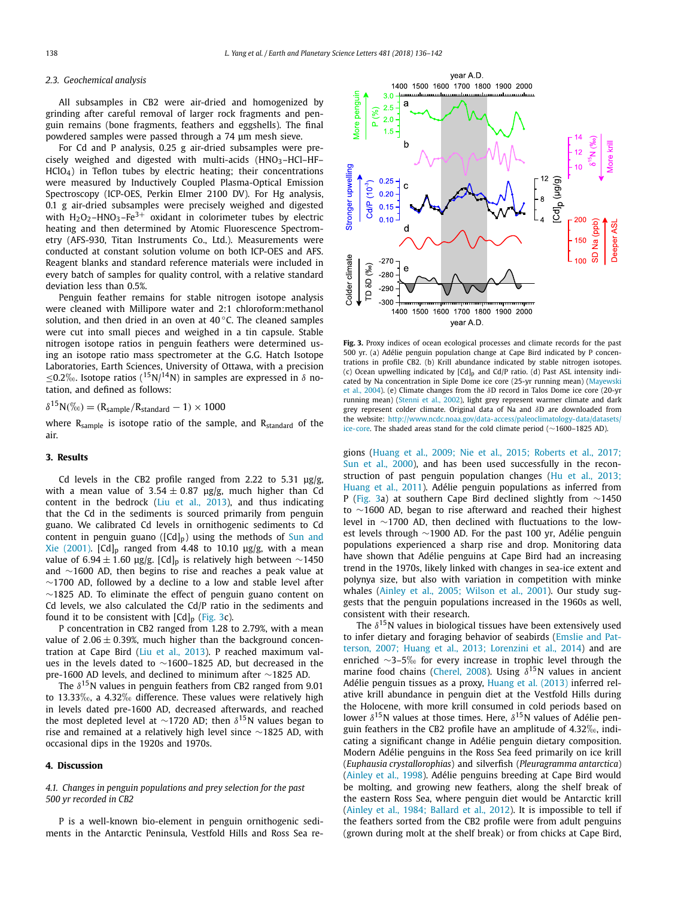# <span id="page-2-0"></span>*2.3. Geochemical analysis*

All subsamples in CB2 were air-dried and homogenized by grinding after careful removal of larger rock fragments and penguin remains (bone fragments, feathers and eggshells). The final powdered samples were passed through a 74 μm mesh sieve.

For Cd and P analysis, 0.25 g air-dried subsamples were precisely weighed and digested with multi-acids  $(HNO<sub>3</sub>–HCl–HF–$ HClO4) in Teflon tubes by electric heating; their concentrations were measured by Inductively Coupled Plasma-Optical Emission Spectroscopy (ICP-OES, Perkin Elmer 2100 DV). For Hg analysis, 0.1 g air-dried subsamples were precisely weighed and digested with  $H_2O_2$ –HNO<sub>3</sub>–Fe<sup>3+</sup> oxidant in colorimeter tubes by electric heating and then determined by Atomic Fluorescence Spectrometry (AFS-930, Titan Instruments Co., Ltd.). Measurements were conducted at constant solution volume on both ICP-OES and AFS. Reagent blanks and standard reference materials were included in every batch of samples for quality control, with a relative standard deviation less than 0.5%.

Penguin feather remains for stable nitrogen isotope analysis were cleaned with Millipore water and 2:1 chloroform:methanol solution, and then dried in an oven at  $40^{\circ}$ C. The cleaned samples were cut into small pieces and weighed in a tin capsule. Stable nitrogen isotope ratios in penguin feathers were determined using an isotope ratio mass spectrometer at the G.G. Hatch Isotope Laboratories, Earth Sciences, University of Ottawa, with a precision ≤0.2❤. Isotope ratios ( 15N/14N) in samples are expressed in *δ* notation, and defined as follows:

 $\delta^{15}N(\%) = (R_{sample}/R_{standard} - 1) \times 1000$ 

where R<sub>sample</sub> is isotope ratio of the sample, and R<sub>standard</sub> of the air.

#### **3. Results**

Cd levels in the CB2 profile ranged from 2.22 to 5.31 μg/g, with a mean value of  $3.54 \pm 0.87$  µg/g, much higher than Cd content in the bedrock (Liu et al., [2013\)](#page-5-0), and thus indicating that the Cd in the sediments is sourced primarily from penguin guano. We calibrated Cd levels in ornithogenic sediments to Cd content in penguin guano ( $[Cd]_p$ ) using the methods of [Sun](#page-6-0) and [Xie \(2001\).](#page-6-0) [Cd]<sub>p</sub> ranged from 4.48 to 10.10  $\mu$ g/g, with a mean value of  $6.94 \pm 1.60$  µg/g. [Cd]<sub>p</sub> is relatively high between ~1450 and ∼1600 AD, then begins to rise and reaches a peak value at  $\sim$ 1700 AD, followed by a decline to a low and stable level after ∼1825 AD. To eliminate the effect of penguin guano content on Cd levels, we also calculated the Cd/P ratio in the sediments and found it to be consistent with  $[Cd]_p$  (Fig. 3c).

P concentration in CB2 ranged from 1.28 to 2.79%, with a mean value of  $2.06 \pm 0.39$ %, much higher than the background concentration at Cape Bird (Liu et al., [2013\)](#page-5-0). P reached maximum values in the levels dated to ∼1600–1825 AD, but decreased in the pre-1600 AD levels, and declined to minimum after ∼1825 AD.

The  $\delta^{15}$ N values in penguin feathers from CB2 ranged from 9.01 to 13.33 $\%$ <sub>0</sub>, a 4.32 $\%$ <sub>0</sub> difference. These values were relatively high in levels dated pre-1600 AD, decreased afterwards, and reached the most depleted level at ∼<sup>1720</sup> AD; then *δ*15N values began to rise and remained at a relatively high level since ∼1825 AD, with occasional dips in the 1920s and 1970s.

## **4. Discussion**

# *4.1. Changes in penguin populations and prey selection for the past 500 yr recorded in CB2*

P is a well-known bio-element in penguin ornithogenic sediments in the Antarctic Peninsula, Vestfold Hills and Ross Sea re-



**Fig. 3.** Proxy indices of ocean ecological processes and climate records for the past 500 yr. (a) Adélie penguin population change at Cape Bird indicated by P concentrations in profile CB2. (b) Krill abundance indicated by stable nitrogen isotopes. (c) Ocean upwelling indicated by  $[Cd]_p$  and  $Cd/P$  ratio. (d) Past ASL intensity indicated by Na concentration in Siple Dome ice core (25-yr running mean) [\(Mayewski](#page-6-0) et al., [2004\)](#page-6-0). (e) Climate changes from the *δ*D record in Talos Dome ice core (20-yr running mean) [\(Stenni](#page-6-0) et al., 2002), light grey represent warmer climate and dark grey represent colder climate. Original data of Na and *δ*D are downloaded from the website: [http://www.ncdc.noaa.gov/data-access/paleoclimatology-data/datasets/](http://www.ncdc.noaa.gov/data-access/paleoclimatology-data/datasets/ice-core) [ice-core.](http://www.ncdc.noaa.gov/data-access/paleoclimatology-data/datasets/ice-core) The shaded areas stand for the cold climate period (∼1600–1825 AD).

gions (Huang et al., 2009; Nie et al., [2015; Roberts](#page-5-0) et al., 2017; Sun et al., [2000\)](#page-5-0), and has been used successfully in the reconstruction of past penguin population changes (Hu et al., [2013;](#page-5-0) [Huang](#page-5-0) et al., 2011). Adélie penguin populations as inferred from P (Fig. 3a) at southern Cape Bird declined slightly from ∼1450 to ∼1600 AD, began to rise afterward and reached their highest level in ∼1700 AD, then declined with fluctuations to the lowest levels through ∼1900 AD. For the past 100 yr, Adélie penguin populations experienced a sharp rise and drop. Monitoring data have shown that Adélie penguins at Cape Bird had an increasing trend in the 1970s, likely linked with changes in sea-ice extent and polynya size, but also with variation in competition with minke whales (Ainley et al., [2005; Wilson](#page-5-0) et al., 2001). Our study suggests that the penguin populations increased in the 1960s as well, consistent with their research.

The  $\delta^{15}$ N values in biological tissues have been extensively used to infer dietary and foraging behavior of seabirds [\(Emslie](#page-5-0) and Patterson, 2007; Huang et al., [2013; Lorenzini](#page-5-0) et al., 2014) and are enriched ∼3–5❤ for every increase in trophic level through the marine food chains [\(Cherel,](#page-5-0) 2008). Using *δ*15N values in ancient Adélie penguin tissues as a proxy, Huang et [al. \(2013\)](#page-5-0) inferred relative krill abundance in penguin diet at the Vestfold Hills during the Holocene, with more krill consumed in cold periods based on lower  $\delta^{15}$ N values at those times. Here,  $\delta^{15}$ N values of Adélie penguin feathers in the CB2 profile have an amplitude of  $4.32\%$ , indicating a significant change in Adélie penguin dietary composition. Modern Adélie penguins in the Ross Sea feed primarily on ice krill (*Euphausia crystallorophias*) and silverfish (*Pleuragramma antarctica*) [\(Ainley](#page-5-0) et al., 1998). Adélie penguins breeding at Cape Bird would be molting, and growing new feathers, along the shelf break of the eastern Ross Sea, where penguin diet would be Antarctic krill (Ainley et al., [1984; Ballard](#page-5-0) et al., 2012). It is impossible to tell if the feathers sorted from the CB2 profile were from adult penguins (grown during molt at the shelf break) or from chicks at Cape Bird,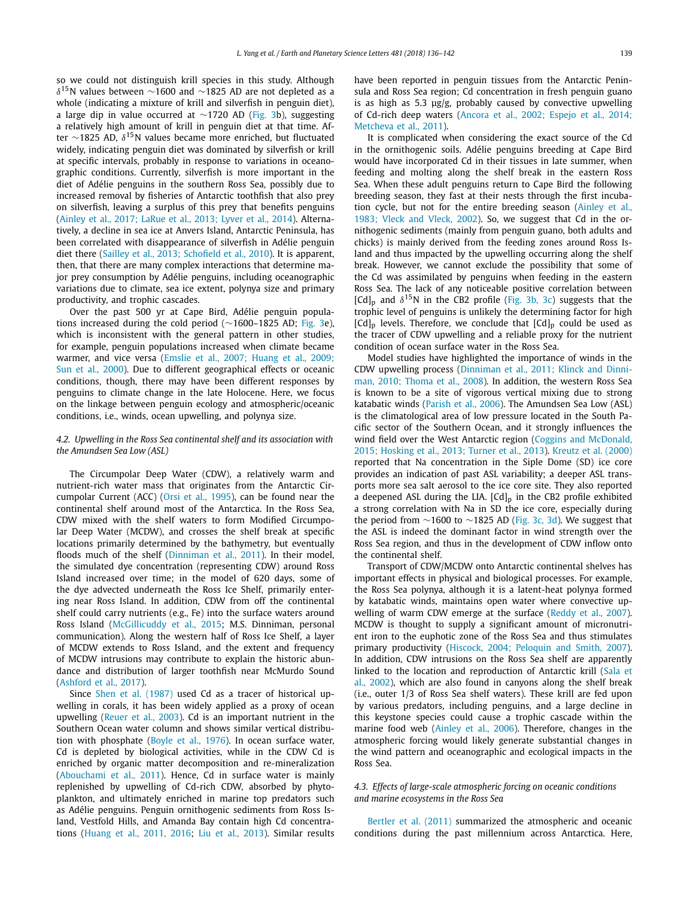so we could not distinguish krill species in this study. Although *δ*15N values between ∼<sup>1600</sup> and ∼<sup>1825</sup> AD are not depleted as <sup>a</sup> whole (indicating a mixture of krill and silverfish in penguin diet), a large dip in value occurred at ∼1720 AD [\(Fig. 3b](#page-2-0)), suggesting a relatively high amount of krill in penguin diet at that time. After ∼<sup>1825</sup> AD, *δ*15N values became more enriched, but fluctuated widely, indicating penguin diet was dominated by silverfish or krill at specific intervals, probably in response to variations in oceanographic conditions. Currently, silverfish is more important in the diet of Adélie penguins in the southern Ross Sea, possibly due to increased removal by fisheries of Antarctic toothfish that also prey on silverfish, leaving a surplus of this prey that benefits penguins (Ainley et al., [2017; LaRue](#page-5-0) et al., 2013; Lyver et al., 2014). Alternatively, a decline in sea ice at Anvers Island, Antarctic Peninsula, has been correlated with disappearance of silverfish in Adélie penguin diet there (Sailley et al., [2013; Schofield](#page-6-0) et al., 2010). It is apparent, then, that there are many complex interactions that determine major prey consumption by Adélie penguins, including oceanographic variations due to climate, sea ice extent, polynya size and primary productivity, and trophic cascades.

Over the past 500 yr at Cape Bird, Adélie penguin populations increased during the cold period (∼1600–1825 AD; [Fig. 3e](#page-2-0)), which is inconsistent with the general pattern in other studies, for example, penguin populations increased when climate became warmer, and vice versa (Emslie et al., [2007; Huang](#page-5-0) et al., 2009; Sun et al., [2000\)](#page-5-0). Due to different geographical effects or oceanic conditions, though, there may have been different responses by penguins to climate change in the late Holocene. Here, we focus on the linkage between penguin ecology and atmospheric/oceanic conditions, i.e., winds, ocean upwelling, and polynya size.

# *4.2. Upwelling in the Ross Sea continental shelf and its association with the Amundsen Sea Low (ASL)*

The Circumpolar Deep Water (CDW), a relatively warm and nutrient-rich water mass that originates from the Antarctic Circumpolar Current (ACC) (Orsi et al., [1995\)](#page-6-0), can be found near the continental shelf around most of the Antarctica. In the Ross Sea, CDW mixed with the shelf waters to form Modified Circumpolar Deep Water (MCDW), and crosses the shelf break at specific locations primarily determined by the bathymetry, but eventually floods much of the shelf [\(Dinniman](#page-5-0) et al., 2011). In their model, the simulated dye concentration (representing CDW) around Ross Island increased over time; in the model of 620 days, some of the dye advected underneath the Ross Ice Shelf, primarily entering near Ross Island. In addition, CDW from off the continental shelf could carry nutrients (e.g., Fe) into the surface waters around Ross Island [\(McGillicuddy](#page-6-0) et al., 2015; M.S. Dinniman, personal communication). Along the western half of Ross Ice Shelf, a layer of MCDW extends to Ross Island, and the extent and frequency of MCDW intrusions may contribute to explain the historic abundance and distribution of larger toothfish near McMurdo Sound [\(Ashford](#page-5-0) et al., 2017).

Since Shen et [al. \(1987\)](#page-6-0) used Cd as a tracer of historical upwelling in corals, it has been widely applied as a proxy of ocean upwelling [\(Reuer](#page-6-0) et al., 2003). Cd is an important nutrient in the Southern Ocean water column and shows similar vertical distribution with phosphate [\(Boyle](#page-5-0) et al., 1976). In ocean surface water, Cd is depleted by biological activities, while in the CDW Cd is enriched by organic matter decomposition and re-mineralization [\(Abouchami](#page-5-0) et al., 2011). Hence, Cd in surface water is mainly replenished by upwelling of Cd-rich CDW, absorbed by phytoplankton, and ultimately enriched in marine top predators such as Adélie penguins. Penguin ornithogenic sediments from Ross Island, Vestfold Hills, and Amanda Bay contain high Cd concentrations [\(Huang](#page-5-0) et al., 2011, 2016; Liu et al., [2013\)](#page-5-0). Similar results have been reported in penguin tissues from the Antarctic Peninsula and Ross Sea region; Cd concentration in fresh penguin guano is as high as 5.3 μg/g, probably caused by convective upwelling of Cd-rich deep waters (Ancora et al., [2002; Espejo](#page-5-0) et al., 2014; [Metcheva](#page-5-0) et al., 2011).

It is complicated when considering the exact source of the Cd in the ornithogenic soils. Adélie penguins breeding at Cape Bird would have incorporated Cd in their tissues in late summer, when feeding and molting along the shelf break in the eastern Ross Sea. When these adult penguins return to Cape Bird the following breeding season, they fast at their nests through the first incubation cycle, but not for the entire breeding season [\(Ainley](#page-5-0) et al., [1983; Vleck](#page-5-0) and Vleck, 2002). So, we suggest that Cd in the ornithogenic sediments (mainly from penguin guano, both adults and chicks) is mainly derived from the feeding zones around Ross Island and thus impacted by the upwelling occurring along the shelf break. However, we cannot exclude the possibility that some of the Cd was assimilated by penguins when feeding in the eastern Ross Sea. The lack of any noticeable positive correlation between  $[Cd]_p$  and  $\delta^{15}N$  in the CB2 profile [\(Fig. 3b,](#page-2-0) 3c) suggests that the trophic level of penguins is unlikely the determining factor for high  $[Cd]_p$  levels. Therefore, we conclude that  $[Cd]_p$  could be used as the tracer of CDW upwelling and a reliable proxy for the nutrient condition of ocean surface water in the Ross Sea.

Model studies have highlighted the importance of winds in the CDW upwelling process (Dinniman et al., [2011; Klinck](#page-5-0) and Dinniman, [2010; Thoma](#page-5-0) et al., 2008). In addition, the western Ross Sea is known to be a site of vigorous vertical mixing due to strong katabatic winds [\(Parish](#page-6-0) et al., 2006). The Amundsen Sea Low (ASL) is the climatological area of low pressure located in the South Pacific sector of the Southern Ocean, and it strongly influences the wind field over the West Antarctic region (Coggins and [McDonald,](#page-5-0) [2015; Hosking](#page-5-0) et al., 2013; Turner et al., 2013). Kreutz et [al. \(2000\)](#page-5-0) reported that Na concentration in the Siple Dome (SD) ice core provides an indication of past ASL variability; a deeper ASL transports more sea salt aerosol to the ice core site. They also reported a deepened ASL during the LIA.  $\lbrack \text{Cd} \rbrack_{p}$  in the CB2 profile exhibited a strong correlation with Na in SD the ice core, especially during the period from ∼1600 to ∼1825 AD [\(Fig. 3c,](#page-2-0) 3d). We suggest that the ASL is indeed the dominant factor in wind strength over the Ross Sea region, and thus in the development of CDW inflow onto the continental shelf.

Transport of CDW/MCDW onto Antarctic continental shelves has important effects in physical and biological processes. For example, the Ross Sea polynya, although it is a latent-heat polynya formed by katabatic winds, maintains open water where convective upwelling of warm CDW emerge at the surface [\(Reddy](#page-6-0) et al., 2007). MCDW is thought to supply a significant amount of micronutrient iron to the euphotic zone of the Ross Sea and thus stimulates primary productivity (Hiscock, [2004; Peloquin](#page-5-0) and Smith, 2007). In addition, CDW intrusions on the Ross Sea shelf are apparently linked to the location and reproduction of Antarctic krill [\(Sala](#page-6-0) et al., [2002\)](#page-6-0), which are also found in canyons along the shelf break (i.e., outer 1/3 of Ross Sea shelf waters). These krill are fed upon by various predators, including penguins, and a large decline in this keystone species could cause a trophic cascade within the marine food web [\(Ainley](#page-5-0) et al., 2006). Therefore, changes in the atmospheric forcing would likely generate substantial changes in the wind pattern and oceanographic and ecological impacts in the Ross Sea.

# *4.3. Effects of large-scale atmospheric forcing on oceanic conditions and marine ecosystems in the Ross Sea*

Bertler et [al. \(2011\)](#page-5-0) summarized the atmospheric and oceanic conditions during the past millennium across Antarctica. Here,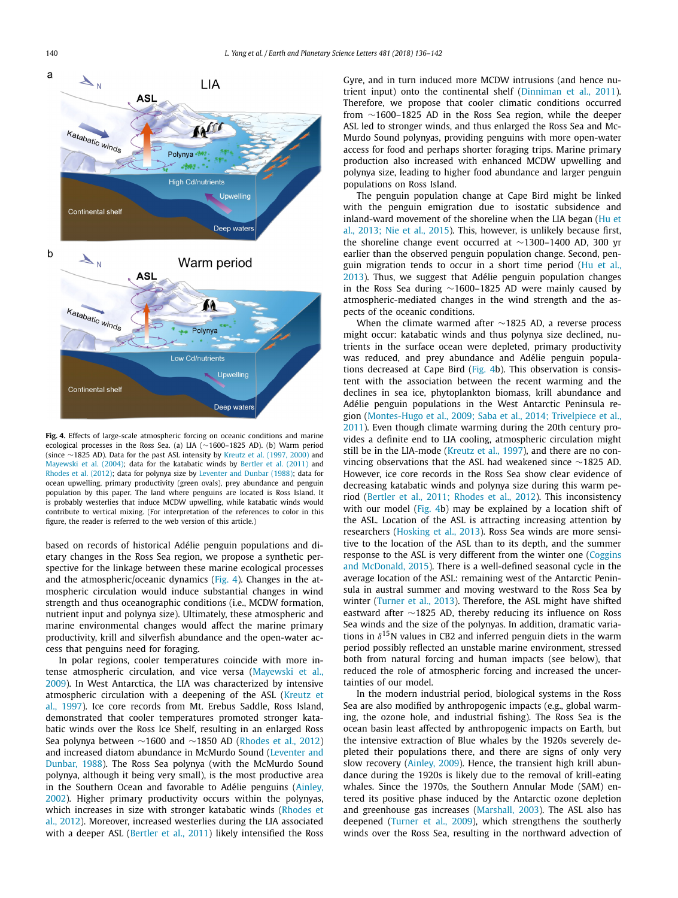

**Fig. 4.** Effects of large-scale atmospheric forcing on oceanic conditions and marine ecological processes in the Ross Sea. (a) LIA (∼1600–1825 AD). (b) Warm period (since ∼1825 AD). Data for the past ASL intensity by [Kreutz](#page-5-0) et al. (1997, 2000) and Mayewski et [al. \(2004\);](#page-6-0) data for the katabatic winds by Bertler et [al. \(2011\)](#page-5-0) and Rhodes et [al. \(2012\);](#page-6-0) data for polynya size by Leventer and [Dunbar \(1988\);](#page-5-0) data for ocean upwelling, primary productivity (green ovals), prey abundance and penguin population by this paper. The land where penguins are located is Ross Island. It is probably westerlies that induce MCDW upwelling, while katabatic winds would contribute to vertical mixing. (For interpretation of the references to color in this figure, the reader is referred to the web version of this article.)

based on records of historical Adélie penguin populations and dietary changes in the Ross Sea region, we propose a synthetic perspective for the linkage between these marine ecological processes and the atmospheric/oceanic dynamics (Fig. 4). Changes in the atmospheric circulation would induce substantial changes in wind strength and thus oceanographic conditions (i.e., MCDW formation, nutrient input and polynya size). Ultimately, these atmospheric and marine environmental changes would affect the marine primary productivity, krill and silverfish abundance and the open-water access that penguins need for foraging.

In polar regions, cooler temperatures coincide with more intense atmospheric circulation, and vice versa [\(Mayewski](#page-6-0) et al., [2009\)](#page-6-0). In West Antarctica, the LIA was characterized by intensive atmospheric circulation with a deepening of the ASL [\(Kreutz](#page-5-0) et al., [1997\)](#page-5-0). Ice core records from Mt. Erebus Saddle, Ross Island, demonstrated that cooler temperatures promoted stronger katabatic winds over the Ross Ice Shelf, resulting in an enlarged Ross Sea polynya between ∼1600 and ∼1850 AD [\(Rhodes](#page-6-0) et al., 2012) and increased diatom abundance in McMurdo Sound [\(Leventer](#page-5-0) and [Dunbar,](#page-5-0) 1988). The Ross Sea polynya (with the McMurdo Sound polynya, although it being very small), is the most productive area in the Southern Ocean and favorable to Adélie penguins [\(Ainley,](#page-5-0) [2002\)](#page-5-0). Higher primary productivity occurs within the polynyas, which increases in size with stronger katabatic winds [\(Rhodes](#page-6-0) et al., [2012\)](#page-6-0). Moreover, increased westerlies during the LIA associated with a deeper ASL [\(Bertler](#page-5-0) et al., 2011) likely intensified the Ross Gyre, and in turn induced more MCDW intrusions (and hence nutrient input) onto the continental shelf [\(Dinniman](#page-5-0) et al., 2011). Therefore, we propose that cooler climatic conditions occurred from ∼1600–1825 AD in the Ross Sea region, while the deeper ASL led to stronger winds, and thus enlarged the Ross Sea and Mc-Murdo Sound polynyas, providing penguins with more open-water access for food and perhaps shorter foraging trips. Marine primary production also increased with enhanced MCDW upwelling and polynya size, leading to higher food abundance and larger penguin populations on Ross Island.

The penguin population change at Cape Bird might be linked with the penguin emigration due to isostatic subsidence and inland-ward movement of the shoreline when the LIA began [\(Hu](#page-5-0) et al., [2013; Nie](#page-5-0) et al., 2015). This, however, is unlikely because first, the shoreline change event occurred at ∼1300–1400 AD, 300 yr earlier than the observed penguin population change. Second, penguin migration tends to occur in a short time period [\(Hu](#page-5-0) et al., [2013\)](#page-5-0). Thus, we suggest that Adélie penguin population changes in the Ross Sea during ∼1600–1825 AD were mainly caused by atmospheric-mediated changes in the wind strength and the aspects of the oceanic conditions.

When the climate warmed after ∼1825 AD, a reverse process might occur: katabatic winds and thus polynya size declined, nutrients in the surface ocean were depleted, primary productivity was reduced, and prey abundance and Adélie penguin populations decreased at Cape Bird (Fig. 4b). This observation is consistent with the association between the recent warming and the declines in sea ice, phytoplankton biomass, krill abundance and Adélie penguin populations in the West Antarctic Peninsula region (Montes-Hugo et al., 2009; Saba et al., [2014; Trivelpiece](#page-6-0) et al., [2011\)](#page-6-0). Even though climate warming during the 20th century provides a definite end to LIA cooling, atmospheric circulation might still be in the LIA-mode [\(Kreutz](#page-5-0) et al., 1997), and there are no convincing observations that the ASL had weakened since ∼1825 AD. However, ice core records in the Ross Sea show clear evidence of decreasing katabatic winds and polynya size during this warm period (Bertler et al., [2011; Rhodes](#page-5-0) et al., 2012). This inconsistency with our model (Fig. 4b) may be explained by a location shift of the ASL. Location of the ASL is attracting increasing attention by researchers [\(Hosking](#page-5-0) et al., 2013). Ross Sea winds are more sensitive to the location of the ASL than to its depth, and the summer response to the ASL is very different from the winter one [\(Coggins](#page-5-0) and [McDonald,](#page-5-0) 2015). There is a well-defined seasonal cycle in the average location of the ASL: remaining west of the Antarctic Peninsula in austral summer and moving westward to the Ross Sea by winter [\(Turner](#page-6-0) et al., 2013). Therefore, the ASL might have shifted eastward after ∼1825 AD, thereby reducing its influence on Ross Sea winds and the size of the polynyas. In addition, dramatic variations in  $\delta^{15}$ N values in CB2 and inferred penguin diets in the warm period possibly reflected an unstable marine environment, stressed both from natural forcing and human impacts (see below), that reduced the role of atmospheric forcing and increased the uncertainties of our model.

In the modern industrial period, biological systems in the Ross Sea are also modified by anthropogenic impacts (e.g., global warming, the ozone hole, and industrial fishing). The Ross Sea is the ocean basin least affected by anthropogenic impacts on Earth, but the intensive extraction of Blue whales by the 1920s severely depleted their populations there, and there are signs of only very slow recovery [\(Ainley,](#page-5-0) 2009). Hence, the transient high krill abundance during the 1920s is likely due to the removal of krill-eating whales. Since the 1970s, the Southern Annular Mode (SAM) entered its positive phase induced by the Antarctic ozone depletion and greenhouse gas increases [\(Marshall,](#page-6-0) 2003). The ASL also has deepened [\(Turner](#page-6-0) et al., 2009), which strengthens the southerly winds over the Ross Sea, resulting in the northward advection of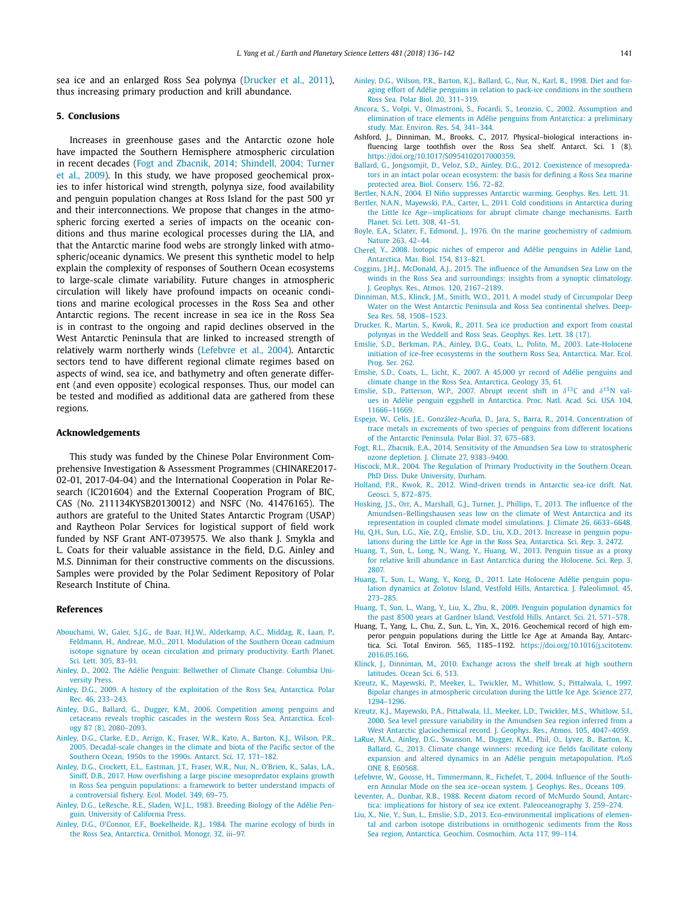<span id="page-5-0"></span>sea ice and an enlarged Ross Sea polynya (Drucker et al., 2011), thus increasing primary production and krill abundance.

# **5. Conclusions**

Increases in greenhouse gases and the Antarctic ozone hole have impacted the Southern Hemisphere atmospheric circulation in recent decades (Fogt and Zbacnik, 2014; Shindell, 2004; Turner et al., 2009). In this study, we have proposed geochemical proxies to infer historical wind strength, polynya size, food availability and penguin population changes at Ross Island for the past 500 yr and their interconnections. We propose that changes in the atmospheric forcing exerted a series of impacts on the oceanic conditions and thus marine ecological processes during the LIA, and that the Antarctic marine food webs are strongly linked with atmospheric/oceanic dynamics. We present this synthetic model to help explain the complexity of responses of Southern Ocean ecosystems to large-scale climate variability. Future changes in atmospheric circulation will likely have profound impacts on oceanic conditions and marine ecological processes in the Ross Sea and other Antarctic regions. The recent increase in sea ice in the Ross Sea is in contrast to the ongoing and rapid declines observed in the West Antarctic Peninsula that are linked to increased strength of relatively warm northerly winds (Lefebvre et al., 2004). Antarctic sectors tend to have different regional climate regimes based on aspects of wind, sea ice, and bathymetry and often generate different (and even opposite) ecological responses. Thus, our model can be tested and modified as additional data are gathered from these regions.

#### **Acknowledgements**

This study was funded by the Chinese Polar Environment Comprehensive Investigation & Assessment Programmes (CHINARE2017- 02-01, 2017-04-04) and the International Cooperation in Polar Research (IC201604) and the External Cooperation Program of BIC, CAS (No. 211134KYSB20130012) and NSFC (No. 41476165). The authors are grateful to the United States Antarctic Program (USAP) and Raytheon Polar Services for logistical support of field work funded by NSF Grant ANT-0739575. We also thank J. Smykla and L. Coats for their valuable assistance in the field, D.G. Ainley and M.S. Dinniman for their constructive comments on the discussions. Samples were provided by the Polar Sediment Repository of Polar Research Institute of China.

#### **References**

- [Abouchami,](http://refhub.elsevier.com/S0012-821X(17)30595-2/bib41626F6574616C32303131s1) W., Galer, S.J.G., de Baar, H.J.W., Alderkamp, A.C., Middag, R., Laan, P., Feldmann, H., Andreae, M.O., 2011. [Modulation](http://refhub.elsevier.com/S0012-821X(17)30595-2/bib41626F6574616C32303131s1) of the Southern Ocean cadmium isotope signature by ocean circulation and primary [productivity.](http://refhub.elsevier.com/S0012-821X(17)30595-2/bib41626F6574616C32303131s1) Earth Planet. Sci. [Lett. 305,](http://refhub.elsevier.com/S0012-821X(17)30595-2/bib41626F6574616C32303131s1) 83–91.
- Ainley, D., 2002. The Adélie Penguin: [Bellwether](http://refhub.elsevier.com/S0012-821X(17)30595-2/bib41696E32303032s1) of Climate Change. Columbia Uni[versity](http://refhub.elsevier.com/S0012-821X(17)30595-2/bib41696E32303032s1) Press.
- Ainley, D.G., 2009. A history of the [exploitation](http://refhub.elsevier.com/S0012-821X(17)30595-2/bib41696E32303039s1) of the Ross Sea, Antarctica. Polar Rec. 46, [233–243.](http://refhub.elsevier.com/S0012-821X(17)30595-2/bib41696E32303039s1)
- Ainley, D.G., Ballard, G., Dugger, K.M., 2006. [Competition](http://refhub.elsevier.com/S0012-821X(17)30595-2/bib41696E6574616C32303036s1) among penguins and cetaceans reveals trophic cascades in the western Ross Sea, [Antarctica.](http://refhub.elsevier.com/S0012-821X(17)30595-2/bib41696E6574616C32303036s1) Ecology 87 (8), [2080–2093.](http://refhub.elsevier.com/S0012-821X(17)30595-2/bib41696E6574616C32303036s1)
- Ainley, D.G., Clarke, E.D., Arrigo, K., Fraser, W.R., Kato, A., Barton, K.J., [Wilson,](http://refhub.elsevier.com/S0012-821X(17)30595-2/bib41696E6574616C32303035s1) P.R., 2005. [Decadal-scale](http://refhub.elsevier.com/S0012-821X(17)30595-2/bib41696E6574616C32303035s1) changes in the climate and biota of the Pacific sector of the Southern Ocean, 1950s to the 1990s. Antarct. Sci. 17, [171–182.](http://refhub.elsevier.com/S0012-821X(17)30595-2/bib41696E6574616C32303035s1)
- Ainley, D.G., Crockett, E.L., [Eastman,](http://refhub.elsevier.com/S0012-821X(17)30595-2/bib41696E6574616C32303137s1) J.T., Fraser, W.R., Nur, N., O'Brien, K., Salas, L.A., Siniff, D.B., 2017. How overfishing a large piscine [mesopredator](http://refhub.elsevier.com/S0012-821X(17)30595-2/bib41696E6574616C32303137s1) explains growth in Ross Sea penguin [populations:](http://refhub.elsevier.com/S0012-821X(17)30595-2/bib41696E6574616C32303137s1) a framework to better understand impacts of a [controversial](http://refhub.elsevier.com/S0012-821X(17)30595-2/bib41696E6574616C32303137s1) fishery. Ecol. Model. 349, 69–75.
- Ainley, D.G., [LeResche,](http://refhub.elsevier.com/S0012-821X(17)30595-2/bib41696E6574616C31393833s1) R.E., Sladen, W.J.L., 1983. Breeding Biology of the Adélie Penguin. [University](http://refhub.elsevier.com/S0012-821X(17)30595-2/bib41696E6574616C31393833s1) of California Press.
- Ainley, D.G., O'Connor, E.F., [Boekelheide,](http://refhub.elsevier.com/S0012-821X(17)30595-2/bib41696E6574616C31393834s1) R.J., 1984. The marine ecology of birds in the Ross Sea, Antarctica. Ornithol. [Monogr. 32,](http://refhub.elsevier.com/S0012-821X(17)30595-2/bib41696E6574616C31393834s1) iii–97.
- Ainley, D.G., [Wilson,](http://refhub.elsevier.com/S0012-821X(17)30595-2/bib41696E6574616C31393938s1) P.R., Barton, K.J., Ballard, G., Nur, N., Karl, B., 1998. Diet and foraging effort of Adélie penguins in relation to pack-ice [conditions](http://refhub.elsevier.com/S0012-821X(17)30595-2/bib41696E6574616C31393938s1) in the southern Ross Sea. Polar Biol. 20, [311–319.](http://refhub.elsevier.com/S0012-821X(17)30595-2/bib41696E6574616C31393938s1)
- Ancora, S., Volpi, V., Olmastroni, S., Focardi, S., Leonzio, C., 2002. [Assumption](http://refhub.elsevier.com/S0012-821X(17)30595-2/bib416E636574616C32303032s1) and elimination of trace elements in Adélie penguins from Antarctica: a [preliminary](http://refhub.elsevier.com/S0012-821X(17)30595-2/bib416E636574616C32303032s1) study. Mar. Environ. Res. 54, [341–344.](http://refhub.elsevier.com/S0012-821X(17)30595-2/bib416E636574616C32303032s1)
- Ashford, J., Dinniman, M., Brooks, C., 2017. Physical–biological interactions influencing large toothfish over the Ross Sea shelf. Antarct. Sci. 1 (8). <https://doi.org/10.1017/S0954102017000359>.
- Ballard, G., Jongsomjit, D., Veloz, S.D., Ainley, D.G., 2012. Coexistence of [mesopreda](http://refhub.elsevier.com/S0012-821X(17)30595-2/bib42616C6574616C32303132s1)tors in an intact polar ocean [ecosystem:](http://refhub.elsevier.com/S0012-821X(17)30595-2/bib42616C6574616C32303132s1) the basis for defining a Ross Sea marine protected area. Biol. [Conserv. 156,](http://refhub.elsevier.com/S0012-821X(17)30595-2/bib42616C6574616C32303132s1) 72–82.
- Bertler, N.A.N., 2004. El Niño [suppresses](http://refhub.elsevier.com/S0012-821X(17)30595-2/bib42657232303034s1) Antarctic warming. Geophys. Res. Lett. 31.
- Bertler, N.A.N., [Mayewski,](http://refhub.elsevier.com/S0012-821X(17)30595-2/bib4265726574616C32303131s1) P.A., Carter, L., 2011. Cold conditions in Antarctica during the Little Ice [Age—implications](http://refhub.elsevier.com/S0012-821X(17)30595-2/bib4265726574616C32303131s1) for abrupt climate change mechanisms. Earth Planet. Sci. [Lett. 308,](http://refhub.elsevier.com/S0012-821X(17)30595-2/bib4265726574616C32303131s1) 41–51.
- Boyle, E.A., Sclater, F., Edmond, J., 1976. On the marine [geochemistry](http://refhub.elsevier.com/S0012-821X(17)30595-2/bib426F796574616C31393736s1) of cadmium. [Nature 263,](http://refhub.elsevier.com/S0012-821X(17)30595-2/bib426F796574616C31393736s1) 42–44.
- Cherel, Y., 2008. Isotopic niches of emperor and Adélie [penguins](http://refhub.elsevier.com/S0012-821X(17)30595-2/bib43686532303038s1) in Adélie Land, [Antarctica.](http://refhub.elsevier.com/S0012-821X(17)30595-2/bib43686532303038s1) Mar. Biol. 154, 813–821.
- Coggins, J.H.J., McDonald, A.J., 2015. The influence of the [Amundsen](http://refhub.elsevier.com/S0012-821X(17)30595-2/bib436F674D634432303135s1) Sea Low on the winds in the Ross Sea and [surroundings:](http://refhub.elsevier.com/S0012-821X(17)30595-2/bib436F674D634432303135s1) insights from a synoptic climatology. J. Geophys. Res., [Atmos. 120,](http://refhub.elsevier.com/S0012-821X(17)30595-2/bib436F674D634432303135s1) 2167–2189.
- Dinniman, M.S., Klinck, J.M., Smith, W.O., 2011. A model study of [Circumpolar](http://refhub.elsevier.com/S0012-821X(17)30595-2/bib44696E6574616C32303131s1) Deep Water on the West Antarctic Peninsula and Ross Sea [continental](http://refhub.elsevier.com/S0012-821X(17)30595-2/bib44696E6574616C32303131s1) shelves. Deep-Sea Res. 58, [1508–1523.](http://refhub.elsevier.com/S0012-821X(17)30595-2/bib44696E6574616C32303131s1)
- Drucker, R., Martin, S., Kwok, R., 2011. Sea ice [production](http://refhub.elsevier.com/S0012-821X(17)30595-2/bib4472756574616C32303131s1) and export from coastal polynyas in the Weddell and Ross Seas. [Geophys.](http://refhub.elsevier.com/S0012-821X(17)30595-2/bib4472756574616C32303131s1) Res. Lett. 38 (17).
- Emslie, S.D., Berkman, P.A., Ainley, D.G., Coats, L., Polito, M., 2003. [Late-Holocene](http://refhub.elsevier.com/S0012-821X(17)30595-2/bib456D736574616C32303033s1) initiation of ice-free [ecosystems](http://refhub.elsevier.com/S0012-821X(17)30595-2/bib456D736574616C32303033s1) in the southern Ross Sea, Antarctica. Mar. Ecol. Prog. [Ser. 262.](http://refhub.elsevier.com/S0012-821X(17)30595-2/bib456D736574616C32303033s1)
- Emslie, S.D., Coats, L., Licht, K., 2007. A 45,000 yr record of Adélie [penguins](http://refhub.elsevier.com/S0012-821X(17)30595-2/bib456D736574616C32303037s1) and climate change in the Ross Sea, Antarctica. [Geology 35,](http://refhub.elsevier.com/S0012-821X(17)30595-2/bib456D736574616C32303037s1) 61.
- Emslie, S.D., [Patterson,](http://refhub.elsevier.com/S0012-821X(17)30595-2/bib456D7350617432303037s1) W.P., 2007. Abrupt recent shift in *δ*13C and *δ*15N values in Adélie penguin eggshell in [Antarctica.](http://refhub.elsevier.com/S0012-821X(17)30595-2/bib456D7350617432303037s1) Proc. Natl. Acad. Sci. USA 104, [11666–11669.](http://refhub.elsevier.com/S0012-821X(17)30595-2/bib456D7350617432303037s1)
- Espejo, W., Celis, J.E., [González-Acuña,](http://refhub.elsevier.com/S0012-821X(17)30595-2/bib4573706574616C32303134s1) D., Jara, S., Barra, R., 2014. Concentration of trace metals in [excrements](http://refhub.elsevier.com/S0012-821X(17)30595-2/bib4573706574616C32303134s1) of two species of penguins from different locations of the Antarctic [Peninsula.](http://refhub.elsevier.com/S0012-821X(17)30595-2/bib4573706574616C32303134s1) Polar Biol. 37, 675–683.
- Fogt, R.L., Zbacnik, E.A., 2014. Sensitivity of the Amundsen Sea Low to [stratospheric](http://refhub.elsevier.com/S0012-821X(17)30595-2/bib466F675A626132303134s1) ozone depletion. J. Climate 27, [9383–9400.](http://refhub.elsevier.com/S0012-821X(17)30595-2/bib466F675A626132303134s1)
- Hiscock, M.R., 2004. The Regulation of Primary [Productivity](http://refhub.elsevier.com/S0012-821X(17)30595-2/bib48697332303034s1) in the Southern Ocean. PhD Diss. Duke [University,](http://refhub.elsevier.com/S0012-821X(17)30595-2/bib48697332303034s1) Durham.
- Holland, P.R., Kwok, R., 2012. [Wind-driven](http://refhub.elsevier.com/S0012-821X(17)30595-2/bib486F6C4B776F32303132s1) trends in Antarctic sea-ice drift. Nat. [Geosci. 5,](http://refhub.elsevier.com/S0012-821X(17)30595-2/bib486F6C4B776F32303132s1) 872–875.
- Hosking, J.S., Orr, A., [Marshall,](http://refhub.elsevier.com/S0012-821X(17)30595-2/bib486F736574616C32303133s1) G.J., Turner, J., Phillips, T., 2013. The influence of the [Amundsen–Bellingshausen](http://refhub.elsevier.com/S0012-821X(17)30595-2/bib486F736574616C32303133s1) seas low on the climate of West Antarctica and its [representation](http://refhub.elsevier.com/S0012-821X(17)30595-2/bib486F736574616C32303133s1) in coupled climate model simulations. J. Climate 26, 6633–6648.
- Hu, Q.H., Sun, L.G., Xie, Z.Q., Emslie, S.D., Liu, X.D., 2013. [Increase](http://refhub.elsevier.com/S0012-821X(17)30595-2/bib48756574616C32303133s1) in penguin populations during the Little Ice Age in the Ross Sea, [Antarctica.](http://refhub.elsevier.com/S0012-821X(17)30595-2/bib48756574616C32303133s1) Sci. Rep. 3, 2472.
- Huang, T., Sun, L., Long, N., Wang, Y., Huang, W., 2013. [Penguin](http://refhub.elsevier.com/S0012-821X(17)30595-2/bib4875616574616C32303133s1) tissue as a proxy for relative krill [abundance](http://refhub.elsevier.com/S0012-821X(17)30595-2/bib4875616574616C32303133s1) in East Antarctica during the Holocene. Sci. Rep. 3, [2807.](http://refhub.elsevier.com/S0012-821X(17)30595-2/bib4875616574616C32303133s1)
- Huang, T., Sun, L., Wang, Y., Kong, D., 2011. Late [Holocene](http://refhub.elsevier.com/S0012-821X(17)30595-2/bib4875616574616C32303131s1) Adélie penguin population dynamics at Zolotov Island, Vestfold Hills, Antarctica. J. [Paleolimnol. 45,](http://refhub.elsevier.com/S0012-821X(17)30595-2/bib4875616574616C32303131s1) [273–285.](http://refhub.elsevier.com/S0012-821X(17)30595-2/bib4875616574616C32303131s1)
- Huang, T., Sun, L., Wang, Y., Liu, X., Zhu, R., 2009. Penguin [population](http://refhub.elsevier.com/S0012-821X(17)30595-2/bib4875616574616C32303039s1) dynamics for the past [8500 years](http://refhub.elsevier.com/S0012-821X(17)30595-2/bib4875616574616C32303039s1) at Gardner Island, Vestfold Hills. Antarct. Sci. 21, 571–578.
- Huang, T., Yang, L., Chu, Z., Sun, L., Yin, X., 2016. Geochemical record of high emperor penguin populations during the Little Ice Age at Amanda Bay, Antarctica. Sci. Total Environ. 565, 1185–1192. [https://doi.org/10.1016/j.scitotenv.](https://doi.org/10.1016/j.scitotenv.2016.05.166) [2016.05.166](https://doi.org/10.1016/j.scitotenv.2016.05.166).
- Klinck, J., [Dinniman,](http://refhub.elsevier.com/S0012-821X(17)30595-2/bib4B6C6944696E32303130s1) M., 2010. Exchange across the shelf break at high southern [latitudes.](http://refhub.elsevier.com/S0012-821X(17)30595-2/bib4B6C6944696E32303130s1) Ocean Sci. 6, 513.
- Kreutz, K., [Mayewski,](http://refhub.elsevier.com/S0012-821X(17)30595-2/bib4B72656574616C31393937s1) P., Meeker, L., Twickler, M., Whitlow, S., Pittalwala, I., 1997. Bipolar changes in [atmospheric](http://refhub.elsevier.com/S0012-821X(17)30595-2/bib4B72656574616C31393937s1) circulation during the Little Ice Age. Science 277, [1294–1296.](http://refhub.elsevier.com/S0012-821X(17)30595-2/bib4B72656574616C31393937s1)
- Kreutz, K.J., [Mayewski,](http://refhub.elsevier.com/S0012-821X(17)30595-2/bib4B72656574616C32303030s1) P.A., Pittalwala, I.I., Meeker, L.D., Twickler, M.S., Whitlow, S.I., 2000. Sea level pressure variability in the [Amundsen](http://refhub.elsevier.com/S0012-821X(17)30595-2/bib4B72656574616C32303030s1) Sea region inferred from a West Antarctic [glaciochemical](http://refhub.elsevier.com/S0012-821X(17)30595-2/bib4B72656574616C32303030s1) record. J. Geophys. Res., Atmos. 105, 4047–4059.
- LaRue, M.A., Ainley, D.G., [Swanson,](http://refhub.elsevier.com/S0012-821X(17)30595-2/bib4C61526574616C32303133s1) M., Dugger, K.M., Phil, O., Lyver, B., Barton, K., Ballard, G., 2013. Climate change [winners:](http://refhub.elsevier.com/S0012-821X(17)30595-2/bib4C61526574616C32303133s1) receding ice fields facilitate colony expansion and altered dynamics in an Adélie penguin [metapopulation.](http://refhub.elsevier.com/S0012-821X(17)30595-2/bib4C61526574616C32303133s1) PLoS ONE 8, [E60568.](http://refhub.elsevier.com/S0012-821X(17)30595-2/bib4C61526574616C32303133s1)
- Lefebvre, W., Goosse, H., [Timmermann,](http://refhub.elsevier.com/S0012-821X(17)30595-2/bib4C65666574616C32303034s1) R., Fichefet, T., 2004. Influence of the Southern Annular Mode on the sea ice–ocean system. J. Geophys. Res., [Oceans 109.](http://refhub.elsevier.com/S0012-821X(17)30595-2/bib4C65666574616C32303034s1)
- Leventer, A., Dunbar, R.B., 1988. Recent diatom record of [McMurdo](http://refhub.elsevier.com/S0012-821X(17)30595-2/bib4C657644756E31393838s1) Sound, Antarctica: implications for history of sea ice extent. [Paleoceanography 3,](http://refhub.elsevier.com/S0012-821X(17)30595-2/bib4C657644756E31393838s1) 259–274.
- Liu, X., Nie, Y., Sun, L., Emslie, S.D., 2013. [Eco-environmental](http://refhub.elsevier.com/S0012-821X(17)30595-2/bib4C69756574616C32303133s1) implications of elemental and carbon isotope [distributions](http://refhub.elsevier.com/S0012-821X(17)30595-2/bib4C69756574616C32303133s1) in ornithogenic sediments from the Ross Sea region, Antarctica. Geochim. [Cosmochim.](http://refhub.elsevier.com/S0012-821X(17)30595-2/bib4C69756574616C32303133s1) Acta 117, 99–114.